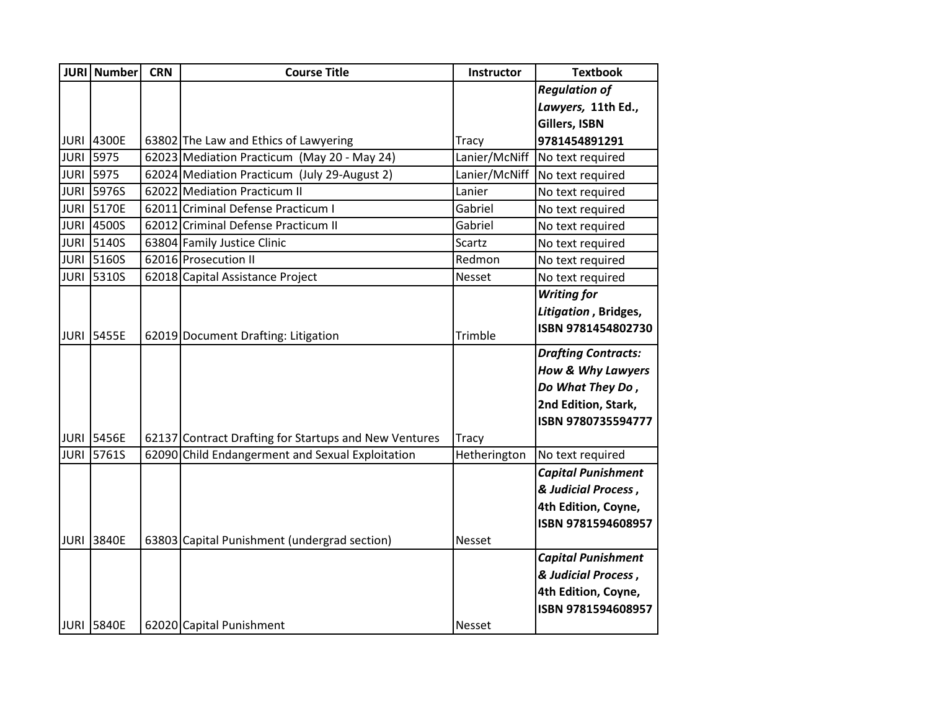| <b>JURI</b> | <b>Number</b>     | <b>CRN</b> | <b>Course Title</b>                                   | Instructor    | <b>Textbook</b>              |
|-------------|-------------------|------------|-------------------------------------------------------|---------------|------------------------------|
|             |                   |            |                                                       |               | <b>Regulation of</b>         |
|             |                   |            |                                                       |               | Lawyers, 11th Ed.,           |
|             |                   |            |                                                       |               | Gillers, ISBN                |
|             | <b>JURI 4300E</b> |            | 63802 The Law and Ethics of Lawyering                 | <b>Tracy</b>  | 9781454891291                |
| <b>JURI</b> | 5975              |            | 62023 Mediation Practicum (May 20 - May 24)           | Lanier/McNiff | No text required             |
|             | <b>JURI 5975</b>  |            | 62024 Mediation Practicum (July 29-August 2)          | Lanier/McNiff | No text required             |
| <b>JURI</b> | 5976S             |            | 62022 Mediation Practicum II                          | Lanier        | No text required             |
|             | <b>JURI 5170E</b> |            | 62011 Criminal Defense Practicum I                    | Gabriel       | No text required             |
| <b>JURI</b> | 4500S             |            | 62012 Criminal Defense Practicum II                   | Gabriel       | No text required             |
|             | <b>JURI 5140S</b> |            | 63804 Family Justice Clinic                           | Scartz        | No text required             |
| <b>JURI</b> | 5160S             |            | 62016 Prosecution II                                  | Redmon        | No text required             |
|             | <b>JURI 5310S</b> |            | 62018 Capital Assistance Project                      | Nesset        | No text required             |
|             |                   |            |                                                       |               | <b>Writing for</b>           |
|             |                   |            |                                                       |               | Litigation, Bridges,         |
|             | JURI 5455E        |            | 62019 Document Drafting: Litigation                   | Trimble       | ISBN 9781454802730           |
|             |                   |            |                                                       |               | <b>Drafting Contracts:</b>   |
|             |                   |            |                                                       |               | <b>How &amp; Why Lawyers</b> |
|             |                   |            |                                                       |               | Do What They Do,             |
|             |                   |            |                                                       |               | 2nd Edition, Stark,          |
|             |                   |            |                                                       |               | ISBN 9780735594777           |
|             | <b>JURI 5456E</b> |            | 62137 Contract Drafting for Startups and New Ventures | <b>Tracy</b>  |                              |
| <b>JURI</b> | 5761S             |            | 62090 Child Endangerment and Sexual Exploitation      | Hetherington  | No text required             |
|             |                   |            |                                                       |               | <b>Capital Punishment</b>    |
|             |                   |            |                                                       |               | & Judicial Process,          |
|             |                   |            |                                                       |               | 4th Edition, Coyne,          |
|             |                   |            |                                                       |               | ISBN 9781594608957           |
| <b>JURI</b> | 3840E             |            | 63803 Capital Punishment (undergrad section)          | <b>Nesset</b> |                              |
|             |                   |            |                                                       |               | <b>Capital Punishment</b>    |
|             |                   |            |                                                       |               | & Judicial Process,          |
|             |                   |            |                                                       |               | 4th Edition, Coyne,          |
|             |                   |            |                                                       |               | ISBN 9781594608957           |
|             | <b>JURI 5840E</b> |            | 62020 Capital Punishment                              | <b>Nesset</b> |                              |